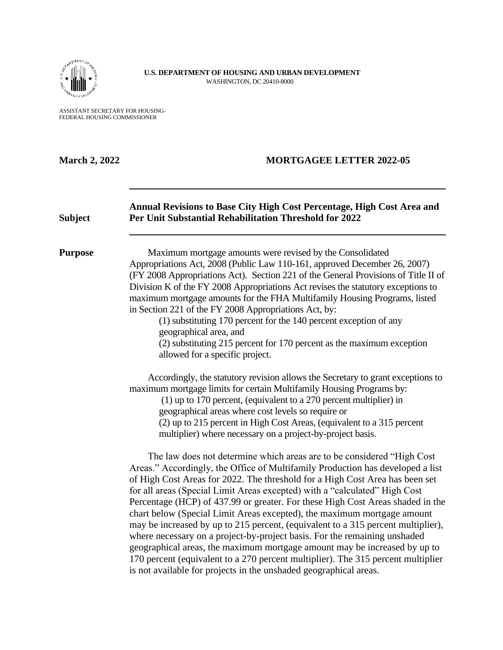

**U.S. DEPARTMENT OF HOUSING AND URBAN DEVELOPMENT**  WASHINGTON, DC 20410-8000

ASSISTANT SECRETARY FOR HOUSING-FEDERAL HOUSING COMMISSIONER

| <b>March 2, 2022</b> | <b>MORTGAGEE LETTER 2022-05</b>                                                                                                                                                                                                                                                                                                                                                                                                                                                                                                                                                                                                                                                                                                                                                                                                                                                                                                                                                                                                                                                                    |  |  |
|----------------------|----------------------------------------------------------------------------------------------------------------------------------------------------------------------------------------------------------------------------------------------------------------------------------------------------------------------------------------------------------------------------------------------------------------------------------------------------------------------------------------------------------------------------------------------------------------------------------------------------------------------------------------------------------------------------------------------------------------------------------------------------------------------------------------------------------------------------------------------------------------------------------------------------------------------------------------------------------------------------------------------------------------------------------------------------------------------------------------------------|--|--|
| <b>Subject</b>       | Annual Revisions to Base City High Cost Percentage, High Cost Area and<br>Per Unit Substantial Rehabilitation Threshold for 2022                                                                                                                                                                                                                                                                                                                                                                                                                                                                                                                                                                                                                                                                                                                                                                                                                                                                                                                                                                   |  |  |
| <b>Purpose</b>       | Maximum mortgage amounts were revised by the Consolidated<br>Appropriations Act, 2008 (Public Law 110-161, approved December 26, 2007)<br>(FY 2008 Appropriations Act). Section 221 of the General Provisions of Title II of<br>Division K of the FY 2008 Appropriations Act revises the statutory exceptions to<br>maximum mortgage amounts for the FHA Multifamily Housing Programs, listed<br>in Section 221 of the FY 2008 Appropriations Act, by:<br>(1) substituting 170 percent for the 140 percent exception of any<br>geographical area, and<br>(2) substituting 215 percent for 170 percent as the maximum exception<br>allowed for a specific project.<br>Accordingly, the statutory revision allows the Secretary to grant exceptions to<br>maximum mortgage limits for certain Multifamily Housing Programs by:<br>$(1)$ up to 170 percent, (equivalent to a 270 percent multiplier) in<br>geographical areas where cost levels so require or<br>(2) up to 215 percent in High Cost Areas, (equivalent to a 315 percent<br>multiplier) where necessary on a project-by-project basis. |  |  |
|                      | The law does not determine which areas are to be considered "High Cost"<br>Areas." Accordingly, the Office of Multifamily Production has developed a list<br>of High Cost Areas for 2022. The threshold for a High Cost Area has been set<br>for all areas (Special Limit Areas excepted) with a "calculated" High Cost<br>Percentage (HCP) of 437.99 or greater. For these High Cost Areas shaded in the<br>chart below (Special Limit Areas excepted), the maximum mortgage amount<br>may be increased by up to 215 percent, (equivalent to a 315 percent multiplier),<br>where necessary on a project-by-project basis. For the remaining unshaded<br>geographical areas, the maximum mortgage amount may be increased by up to<br>170 percent (equivalent to a 270 percent multiplier). The 315 percent multiplier<br>is not available for projects in the unshaded geographical areas.                                                                                                                                                                                                        |  |  |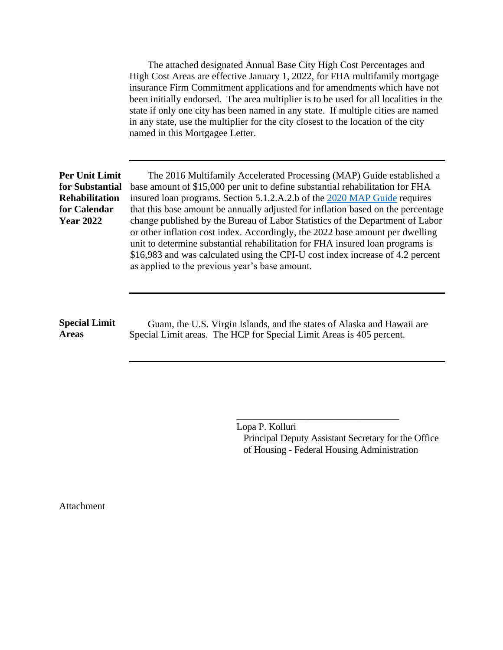The attached designated Annual Base City High Cost Percentages and High Cost Areas are effective January 1, 2022, for FHA multifamily mortgage insurance Firm Commitment applications and for amendments which have not been initially endorsed. The area multiplier is to be used for all localities in the state if only one city has been named in any state. If multiple cities are named in any state, use the multiplier for the city closest to the location of the city named in this Mortgagee Letter.

### **Per Unit Limit for Substantial Rehabilitation for Calendar Year 2022**

The 2016 Multifamily Accelerated Processing (MAP) Guide established a base amount of \$15,000 per unit to define substantial rehabilitation for FHA insured loan programs. Section 5.1.2.A.2.b of the [2020 MAP Guide](https://www.hud.gov/program_offices/administration/hudclips/guidebooks/hsg-gb4430) requires that this base amount be annually adjusted for inflation based on the percentage change published by the Bureau of Labor Statistics of the Department of Labor or other inflation cost index. Accordingly, the 2022 base amount per dwelling unit to determine substantial rehabilitation for FHA insured loan programs is \$16,983 and was calculated using the CPI-U cost index increase of 4.2 percent as applied to the previous year's base amount.

#### **Special Limit Areas**

Guam, the U.S. Virgin Islands, and the states of Alaska and Hawaii are Special Limit areas. The HCP for Special Limit Areas is 405 percent.

> Lopa P. Kolluri Principal Deputy Assistant Secretary for the Office of Housing - Federal Housing Administration

\_\_\_\_\_\_\_\_\_\_\_\_\_\_\_\_\_\_\_\_\_\_\_\_\_\_\_\_\_\_\_\_\_

Attachment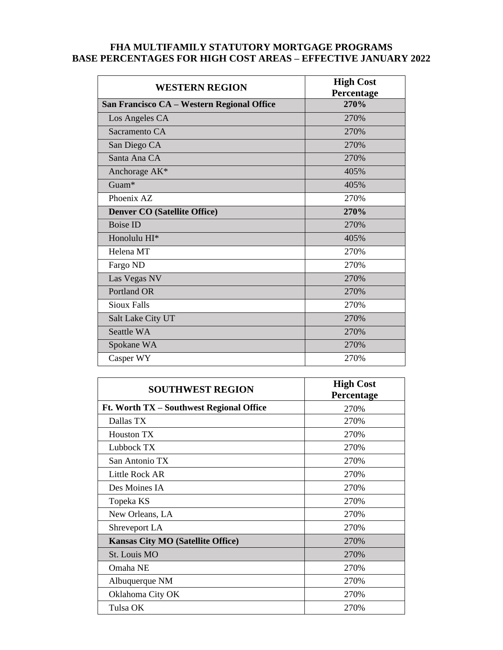# **FHA MULTIFAMILY STATUTORY MORTGAGE PROGRAMS BASE PERCENTAGES FOR HIGH COST AREAS – EFFECTIVE JANUARY 2022**

| <b>WESTERN REGION</b>                      | <b>High Cost</b><br>Percentage |
|--------------------------------------------|--------------------------------|
| San Francisco CA - Western Regional Office | 270%                           |
| Los Angeles CA                             | 270%                           |
| Sacramento CA                              | 270%                           |
| San Diego CA                               | 270%                           |
| Santa Ana CA                               | 270%                           |
| Anchorage AK*                              | 405%                           |
| Guam*                                      | 405%                           |
| Phoenix AZ                                 | 270%                           |
| <b>Denver CO (Satellite Office)</b>        | 270%                           |
| <b>Boise ID</b>                            | 270%                           |
| Honolulu HI*                               | 405%                           |
| Helena MT                                  | 270%                           |
| Fargo ND                                   | 270%                           |
| Las Vegas NV                               | 270%                           |
| Portland OR                                | 270%                           |
| <b>Sioux Falls</b>                         | 270%                           |
| Salt Lake City UT                          | 270%                           |
| Seattle WA                                 | 270%                           |
| Spokane WA                                 | 270%                           |
| Casper WY                                  | 270%                           |

| <b>SOUTHWEST REGION</b>                  | <b>High Cost</b><br>Percentage |
|------------------------------------------|--------------------------------|
| Ft. Worth TX – Southwest Regional Office | 270%                           |
| Dallas TX                                | 270%                           |
| <b>Houston TX</b>                        | 270%                           |
| Lubbock TX                               | 270%                           |
| San Antonio TX                           | 270%                           |
| Little Rock AR                           | 270%                           |
| Des Moines IA                            | 270%                           |
| Topeka KS                                | 270\%                          |
| New Orleans, LA                          | 270%                           |
| Shreveport LA                            | 270%                           |
| <b>Kansas City MO (Satellite Office)</b> | 270%                           |
| St. Louis MO                             | 270%                           |
| Omaha NE                                 | 270\%                          |
| Albuquerque NM                           | 270%                           |
| Oklahoma City OK                         | 270%                           |
| Tulsa OK                                 | 270%                           |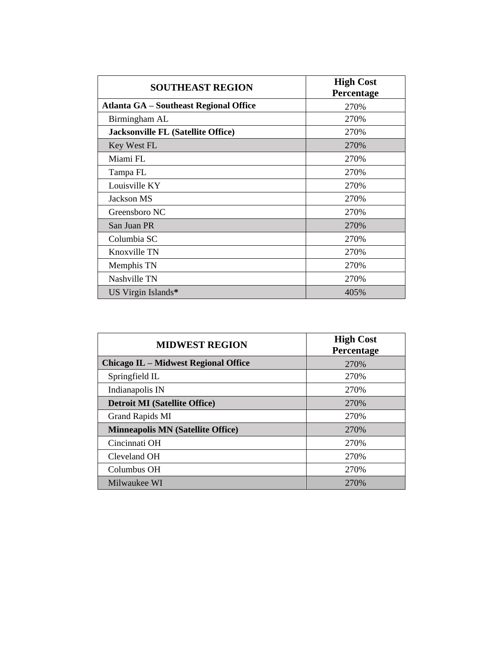| <b>SOUTHEAST REGION</b>                   | <b>High Cost</b><br>Percentage |
|-------------------------------------------|--------------------------------|
| Atlanta GA – Southeast Regional Office    | 270%                           |
| Birmingham AL                             | 270\%                          |
| <b>Jacksonville FL (Satellite Office)</b> | 270%                           |
| Key West FL                               | 270%                           |
| Miami FL                                  | 270%                           |
| Tampa FL                                  | 270%                           |
| Louisville KY                             | 270%                           |
| Jackson MS                                | 270%                           |
| Greensboro NC                             | 270%                           |
| San Juan PR                               | 270%                           |
| Columbia SC                               | 270%                           |
| Knoxville TN                              | 270%                           |
| Memphis TN                                | 270%                           |
| Nashville TN                              | 270%                           |
| US Virgin Islands*                        | 405%                           |

| <b>MIDWEST REGION</b>                       | <b>High Cost</b><br>Percentage |
|---------------------------------------------|--------------------------------|
| <b>Chicago IL – Midwest Regional Office</b> | 270\%                          |
| Springfield IL                              | 270\%                          |
| Indianapolis IN                             | 270\%                          |
| <b>Detroit MI (Satellite Office)</b>        | 270\%                          |
| Grand Rapids MI                             | 270\%                          |
| <b>Minneapolis MN (Satellite Office)</b>    | 270\%                          |
| Cincinnati OH                               | 270\%                          |
| Cleveland OH                                | 270\%                          |
| Columbus OH                                 | 270\%                          |
| Milwaukee WI                                | 270%                           |